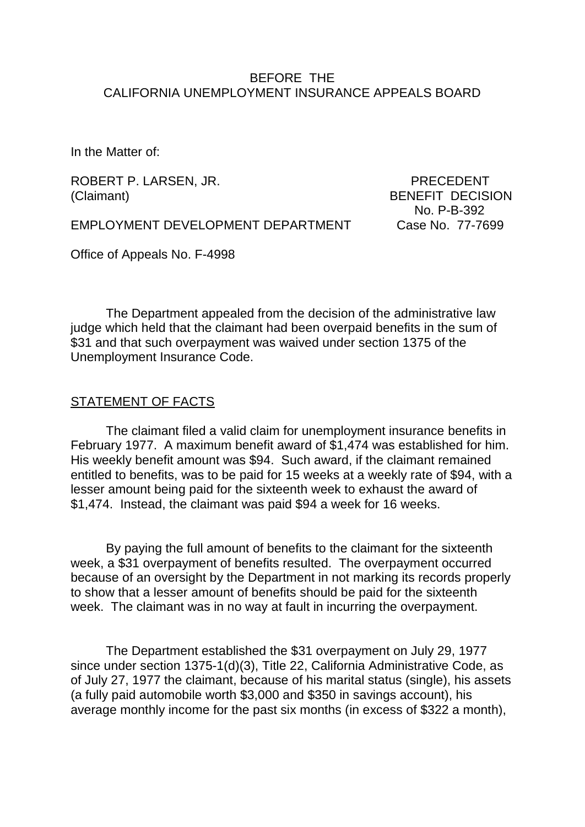#### BEFORE THE CALIFORNIA UNEMPLOYMENT INSURANCE APPEALS BOARD

In the Matter of:

ROBERT P. LARSEN, JR. PRECEDENT (Claimant) BENEFIT DECISION

No. P-B-392

EMPLOYMENT DEVELOPMENT DEPARTMENT Case No. 77-7699

Office of Appeals No. F-4998

The Department appealed from the decision of the administrative law judge which held that the claimant had been overpaid benefits in the sum of \$31 and that such overpayment was waived under section 1375 of the Unemployment Insurance Code.

#### STATEMENT OF FACTS

The claimant filed a valid claim for unemployment insurance benefits in February 1977. A maximum benefit award of \$1,474 was established for him. His weekly benefit amount was \$94. Such award, if the claimant remained entitled to benefits, was to be paid for 15 weeks at a weekly rate of \$94, with a lesser amount being paid for the sixteenth week to exhaust the award of \$1,474. Instead, the claimant was paid \$94 a week for 16 weeks.

By paying the full amount of benefits to the claimant for the sixteenth week, a \$31 overpayment of benefits resulted. The overpayment occurred because of an oversight by the Department in not marking its records properly to show that a lesser amount of benefits should be paid for the sixteenth week. The claimant was in no way at fault in incurring the overpayment.

The Department established the \$31 overpayment on July 29, 1977 since under section 1375-1(d)(3), Title 22, California Administrative Code, as of July 27, 1977 the claimant, because of his marital status (single), his assets (a fully paid automobile worth \$3,000 and \$350 in savings account), his average monthly income for the past six months (in excess of \$322 a month),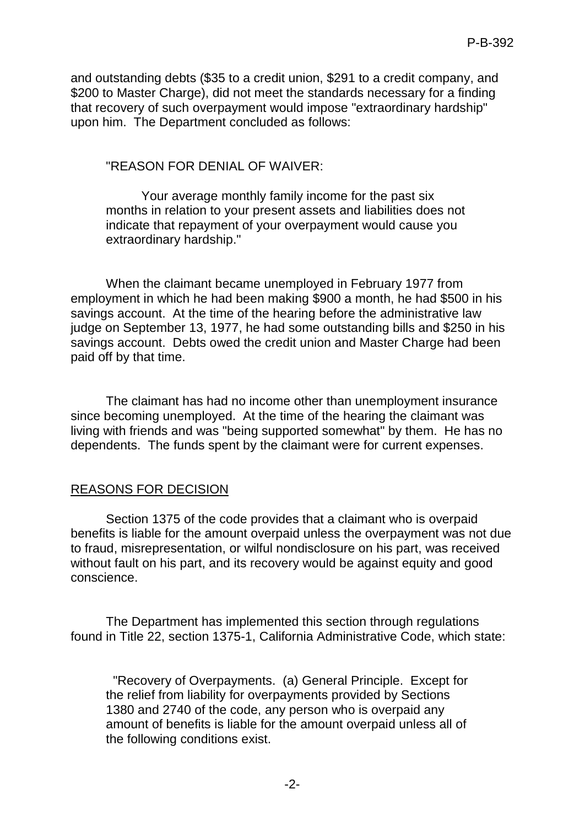and outstanding debts (\$35 to a credit union, \$291 to a credit company, and \$200 to Master Charge), did not meet the standards necessary for a finding that recovery of such overpayment would impose "extraordinary hardship" upon him. The Department concluded as follows:

## "REASON FOR DENIAL OF WAIVER:

Your average monthly family income for the past six months in relation to your present assets and liabilities does not indicate that repayment of your overpayment would cause you extraordinary hardship."

When the claimant became unemployed in February 1977 from employment in which he had been making \$900 a month, he had \$500 in his savings account. At the time of the hearing before the administrative law judge on September 13, 1977, he had some outstanding bills and \$250 in his savings account. Debts owed the credit union and Master Charge had been paid off by that time.

The claimant has had no income other than unemployment insurance since becoming unemployed. At the time of the hearing the claimant was living with friends and was "being supported somewhat" by them. He has no dependents. The funds spent by the claimant were for current expenses.

## REASONS FOR DECISION

Section 1375 of the code provides that a claimant who is overpaid benefits is liable for the amount overpaid unless the overpayment was not due to fraud, misrepresentation, or wilful nondisclosure on his part, was received without fault on his part, and its recovery would be against equity and good conscience.

The Department has implemented this section through regulations found in Title 22, section 1375-1, California Administrative Code, which state:

 "Recovery of Overpayments. (a) General Principle. Except for the relief from liability for overpayments provided by Sections 1380 and 2740 of the code, any person who is overpaid any amount of benefits is liable for the amount overpaid unless all of the following conditions exist.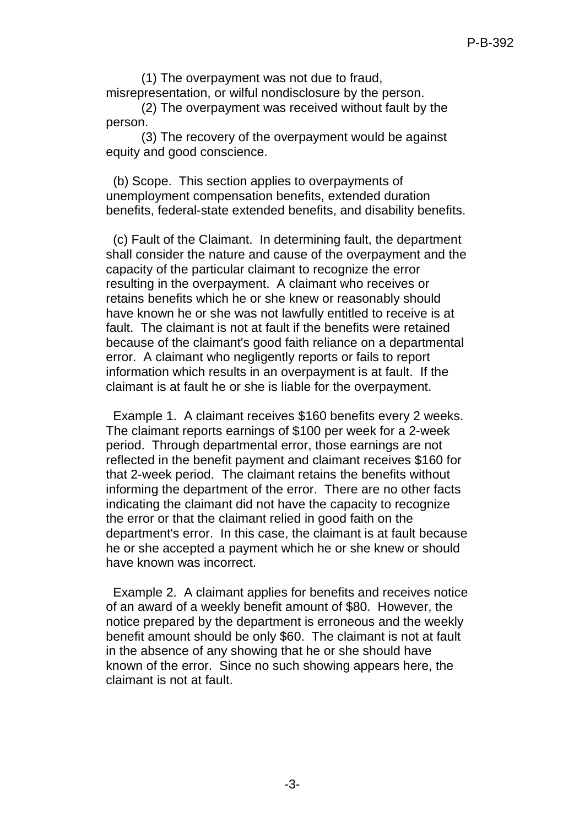(1) The overpayment was not due to fraud, misrepresentation, or wilful nondisclosure by the person.

(2) The overpayment was received without fault by the person.

(3) The recovery of the overpayment would be against equity and good conscience.

 (b) Scope. This section applies to overpayments of unemployment compensation benefits, extended duration benefits, federal-state extended benefits, and disability benefits.

 (c) Fault of the Claimant. In determining fault, the department shall consider the nature and cause of the overpayment and the capacity of the particular claimant to recognize the error resulting in the overpayment. A claimant who receives or retains benefits which he or she knew or reasonably should have known he or she was not lawfully entitled to receive is at fault. The claimant is not at fault if the benefits were retained because of the claimant's good faith reliance on a departmental error. A claimant who negligently reports or fails to report information which results in an overpayment is at fault. If the claimant is at fault he or she is liable for the overpayment.

 Example 1. A claimant receives \$160 benefits every 2 weeks. The claimant reports earnings of \$100 per week for a 2-week period. Through departmental error, those earnings are not reflected in the benefit payment and claimant receives \$160 for that 2-week period. The claimant retains the benefits without informing the department of the error. There are no other facts indicating the claimant did not have the capacity to recognize the error or that the claimant relied in good faith on the department's error. In this case, the claimant is at fault because he or she accepted a payment which he or she knew or should have known was incorrect.

 Example 2. A claimant applies for benefits and receives notice of an award of a weekly benefit amount of \$80. However, the notice prepared by the department is erroneous and the weekly benefit amount should be only \$60. The claimant is not at fault in the absence of any showing that he or she should have known of the error. Since no such showing appears here, the claimant is not at fault.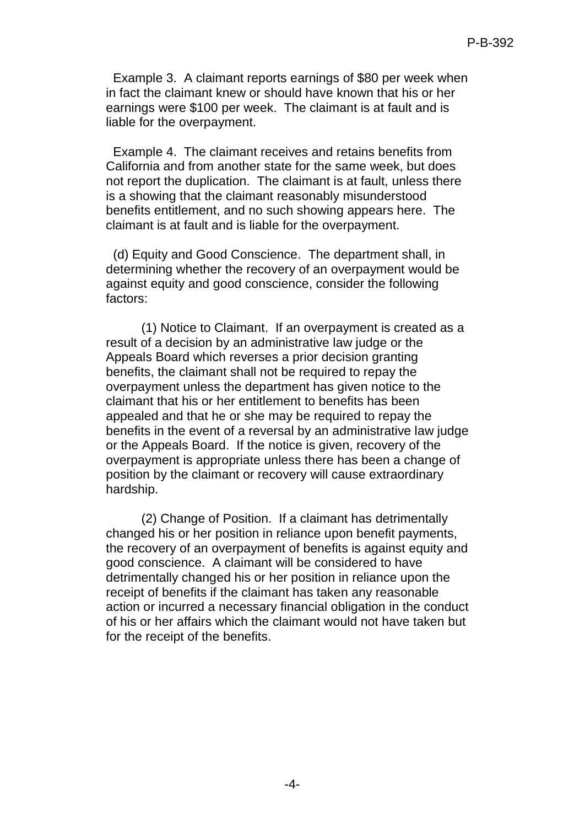Example 3. A claimant reports earnings of \$80 per week when in fact the claimant knew or should have known that his or her earnings were \$100 per week. The claimant is at fault and is liable for the overpayment.

 Example 4. The claimant receives and retains benefits from California and from another state for the same week, but does not report the duplication. The claimant is at fault, unless there is a showing that the claimant reasonably misunderstood benefits entitlement, and no such showing appears here. The claimant is at fault and is liable for the overpayment.

 (d) Equity and Good Conscience. The department shall, in determining whether the recovery of an overpayment would be against equity and good conscience, consider the following factors:

(1) Notice to Claimant. If an overpayment is created as a result of a decision by an administrative law judge or the Appeals Board which reverses a prior decision granting benefits, the claimant shall not be required to repay the overpayment unless the department has given notice to the claimant that his or her entitlement to benefits has been appealed and that he or she may be required to repay the benefits in the event of a reversal by an administrative law judge or the Appeals Board. If the notice is given, recovery of the overpayment is appropriate unless there has been a change of position by the claimant or recovery will cause extraordinary hardship.

(2) Change of Position. If a claimant has detrimentally changed his or her position in reliance upon benefit payments, the recovery of an overpayment of benefits is against equity and good conscience. A claimant will be considered to have detrimentally changed his or her position in reliance upon the receipt of benefits if the claimant has taken any reasonable action or incurred a necessary financial obligation in the conduct of his or her affairs which the claimant would not have taken but for the receipt of the benefits.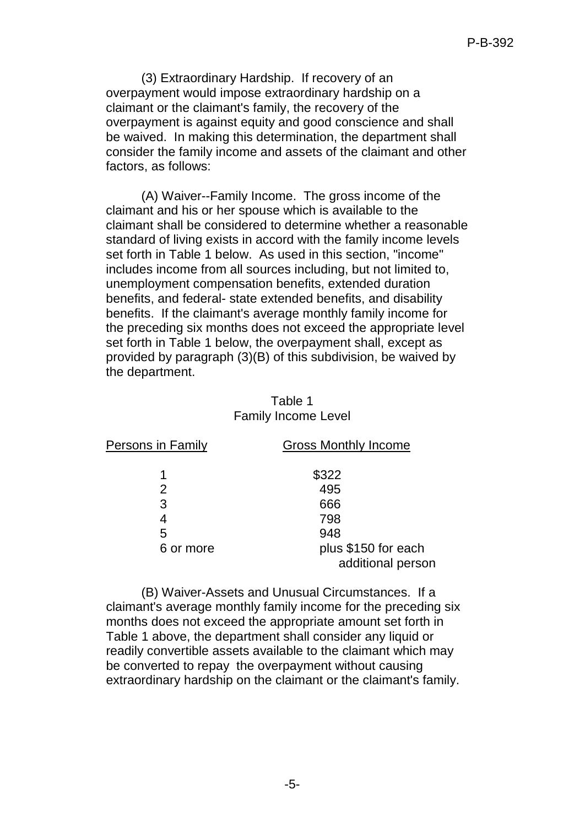(3) Extraordinary Hardship. If recovery of an overpayment would impose extraordinary hardship on a claimant or the claimant's family, the recovery of the overpayment is against equity and good conscience and shall be waived. In making this determination, the department shall consider the family income and assets of the claimant and other factors, as follows:

(A) Waiver--Family Income. The gross income of the claimant and his or her spouse which is available to the claimant shall be considered to determine whether a reasonable standard of living exists in accord with the family income levels set forth in Table 1 below. As used in this section, "income" includes income from all sources including, but not limited to, unemployment compensation benefits, extended duration benefits, and federal- state extended benefits, and disability benefits. If the claimant's average monthly family income for the preceding six months does not exceed the appropriate level set forth in Table 1 below, the overpayment shall, except as provided by paragraph (3)(B) of this subdivision, be waived by the department.

### Table 1 Family Income Level

| <b>Persons in Family</b> | <b>Gross Monthly Income</b>              |
|--------------------------|------------------------------------------|
| 1                        | \$322                                    |
| 2                        | 495                                      |
| 3                        | 666                                      |
|                          | 798                                      |
| 5                        | 948                                      |
| 6 or more                | plus \$150 for each<br>additional person |

(B) Waiver-Assets and Unusual Circumstances. If a claimant's average monthly family income for the preceding six months does not exceed the appropriate amount set forth in Table 1 above, the department shall consider any liquid or readily convertible assets available to the claimant which may be converted to repay the overpayment without causing extraordinary hardship on the claimant or the claimant's family.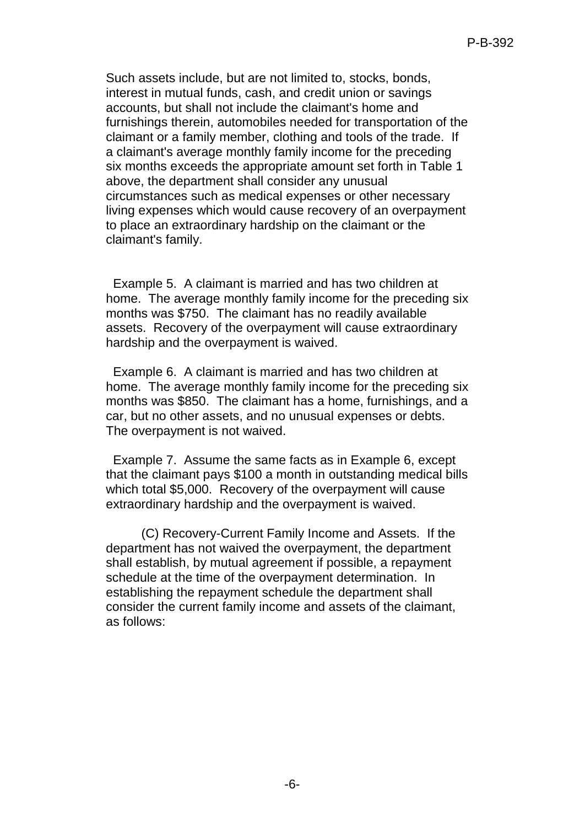Such assets include, but are not limited to, stocks, bonds, interest in mutual funds, cash, and credit union or savings accounts, but shall not include the claimant's home and furnishings therein, automobiles needed for transportation of the claimant or a family member, clothing and tools of the trade. If a claimant's average monthly family income for the preceding six months exceeds the appropriate amount set forth in Table 1 above, the department shall consider any unusual circumstances such as medical expenses or other necessary living expenses which would cause recovery of an overpayment to place an extraordinary hardship on the claimant or the claimant's family.

 Example 5. A claimant is married and has two children at home. The average monthly family income for the preceding six months was \$750. The claimant has no readily available assets. Recovery of the overpayment will cause extraordinary hardship and the overpayment is waived.

 Example 6. A claimant is married and has two children at home. The average monthly family income for the preceding six months was \$850. The claimant has a home, furnishings, and a car, but no other assets, and no unusual expenses or debts. The overpayment is not waived.

 Example 7. Assume the same facts as in Example 6, except that the claimant pays \$100 a month in outstanding medical bills which total \$5,000. Recovery of the overpayment will cause extraordinary hardship and the overpayment is waived.

(C) Recovery-Current Family Income and Assets. If the department has not waived the overpayment, the department shall establish, by mutual agreement if possible, a repayment schedule at the time of the overpayment determination. In establishing the repayment schedule the department shall consider the current family income and assets of the claimant, as follows: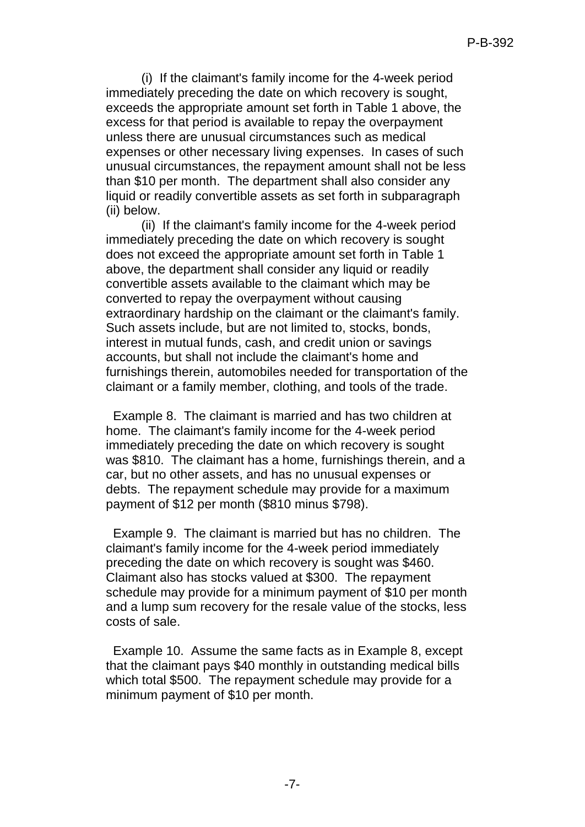(i) If the claimant's family income for the 4-week period immediately preceding the date on which recovery is sought, exceeds the appropriate amount set forth in Table 1 above, the excess for that period is available to repay the overpayment unless there are unusual circumstances such as medical expenses or other necessary living expenses. In cases of such unusual circumstances, the repayment amount shall not be less than \$10 per month. The department shall also consider any liquid or readily convertible assets as set forth in subparagraph (ii) below.

(ii) If the claimant's family income for the 4-week period immediately preceding the date on which recovery is sought does not exceed the appropriate amount set forth in Table 1 above, the department shall consider any liquid or readily convertible assets available to the claimant which may be converted to repay the overpayment without causing extraordinary hardship on the claimant or the claimant's family. Such assets include, but are not limited to, stocks, bonds, interest in mutual funds, cash, and credit union or savings accounts, but shall not include the claimant's home and furnishings therein, automobiles needed for transportation of the claimant or a family member, clothing, and tools of the trade.

 Example 8. The claimant is married and has two children at home. The claimant's family income for the 4-week period immediately preceding the date on which recovery is sought was \$810. The claimant has a home, furnishings therein, and a car, but no other assets, and has no unusual expenses or debts. The repayment schedule may provide for a maximum payment of \$12 per month (\$810 minus \$798).

 Example 9. The claimant is married but has no children. The claimant's family income for the 4-week period immediately preceding the date on which recovery is sought was \$460. Claimant also has stocks valued at \$300. The repayment schedule may provide for a minimum payment of \$10 per month and a lump sum recovery for the resale value of the stocks, less costs of sale.

 Example 10. Assume the same facts as in Example 8, except that the claimant pays \$40 monthly in outstanding medical bills which total \$500. The repayment schedule may provide for a minimum payment of \$10 per month.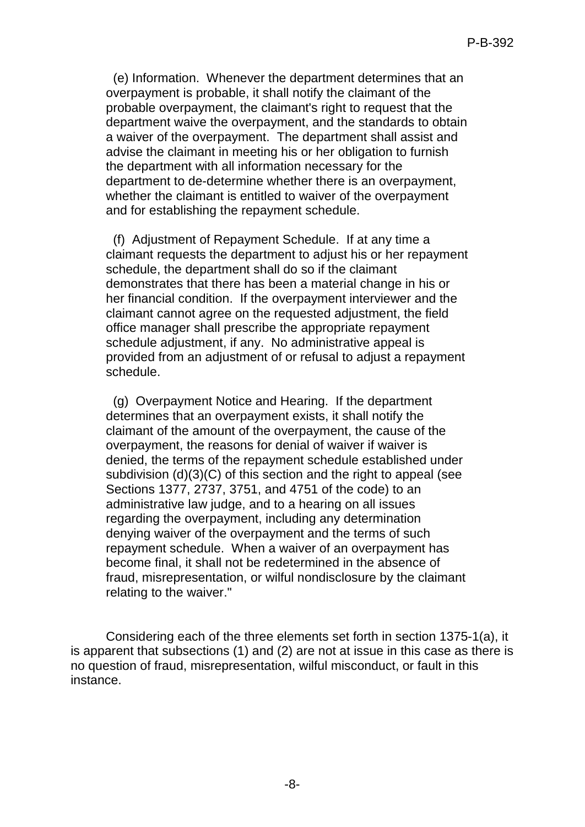(e) Information. Whenever the department determines that an overpayment is probable, it shall notify the claimant of the probable overpayment, the claimant's right to request that the department waive the overpayment, and the standards to obtain a waiver of the overpayment. The department shall assist and advise the claimant in meeting his or her obligation to furnish the department with all information necessary for the department to de-determine whether there is an overpayment, whether the claimant is entitled to waiver of the overpayment and for establishing the repayment schedule.

 (f) Adjustment of Repayment Schedule. If at any time a claimant requests the department to adjust his or her repayment schedule, the department shall do so if the claimant demonstrates that there has been a material change in his or her financial condition. If the overpayment interviewer and the claimant cannot agree on the requested adjustment, the field office manager shall prescribe the appropriate repayment schedule adjustment, if any. No administrative appeal is provided from an adjustment of or refusal to adjust a repayment schedule.

 (g) Overpayment Notice and Hearing. If the department determines that an overpayment exists, it shall notify the claimant of the amount of the overpayment, the cause of the overpayment, the reasons for denial of waiver if waiver is denied, the terms of the repayment schedule established under subdivision (d)(3)(C) of this section and the right to appeal (see Sections 1377, 2737, 3751, and 4751 of the code) to an administrative law judge, and to a hearing on all issues regarding the overpayment, including any determination denying waiver of the overpayment and the terms of such repayment schedule. When a waiver of an overpayment has become final, it shall not be redetermined in the absence of fraud, misrepresentation, or wilful nondisclosure by the claimant relating to the waiver."

Considering each of the three elements set forth in section 1375-1(a), it is apparent that subsections (1) and (2) are not at issue in this case as there is no question of fraud, misrepresentation, wilful misconduct, or fault in this instance.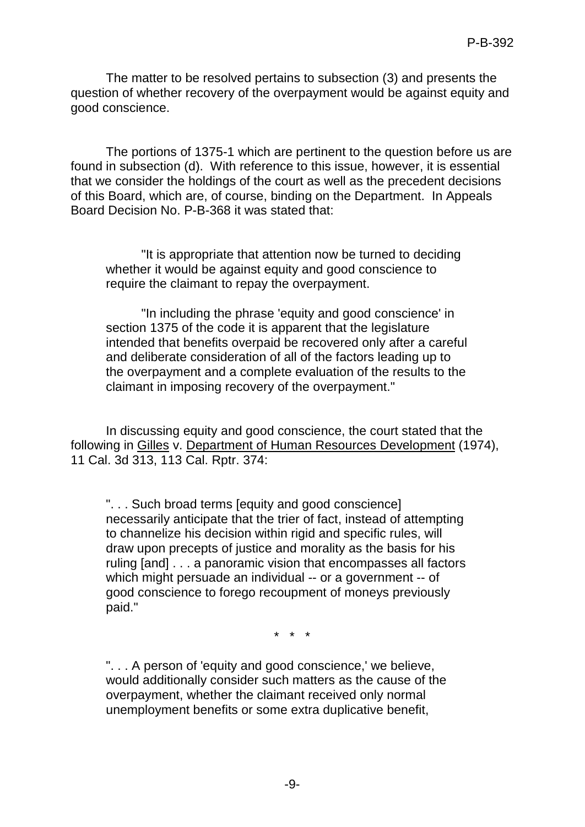The matter to be resolved pertains to subsection (3) and presents the question of whether recovery of the overpayment would be against equity and good conscience.

The portions of 1375-1 which are pertinent to the question before us are found in subsection (d). With reference to this issue, however, it is essential that we consider the holdings of the court as well as the precedent decisions of this Board, which are, of course, binding on the Department. In Appeals Board Decision No. P-B-368 it was stated that:

"It is appropriate that attention now be turned to deciding whether it would be against equity and good conscience to require the claimant to repay the overpayment.

"In including the phrase 'equity and good conscience' in section 1375 of the code it is apparent that the legislature intended that benefits overpaid be recovered only after a careful and deliberate consideration of all of the factors leading up to the overpayment and a complete evaluation of the results to the claimant in imposing recovery of the overpayment."

In discussing equity and good conscience, the court stated that the following in Gilles v. Department of Human Resources Development (1974), 11 Cal. 3d 313, 113 Cal. Rptr. 374:

". . . Such broad terms [equity and good conscience] necessarily anticipate that the trier of fact, instead of attempting to channelize his decision within rigid and specific rules, will draw upon precepts of justice and morality as the basis for his ruling [and] . . . a panoramic vision that encompasses all factors which might persuade an individual -- or a government -- of good conscience to forego recoupment of moneys previously paid."

\* \* \*

". . . A person of 'equity and good conscience,' we believe, would additionally consider such matters as the cause of the overpayment, whether the claimant received only normal unemployment benefits or some extra duplicative benefit,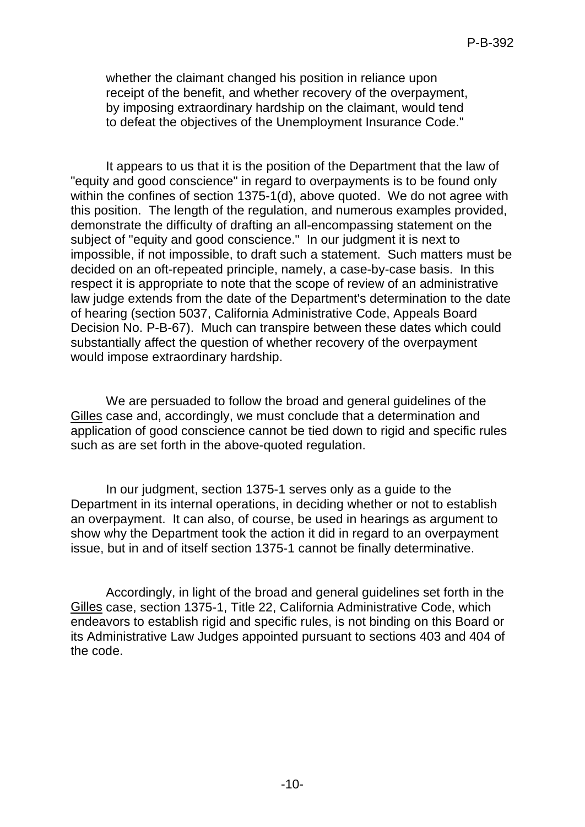whether the claimant changed his position in reliance upon receipt of the benefit, and whether recovery of the overpayment, by imposing extraordinary hardship on the claimant, would tend to defeat the objectives of the Unemployment Insurance Code."

It appears to us that it is the position of the Department that the law of "equity and good conscience" in regard to overpayments is to be found only within the confines of section 1375-1(d), above quoted. We do not agree with this position. The length of the regulation, and numerous examples provided, demonstrate the difficulty of drafting an all-encompassing statement on the subject of "equity and good conscience." In our judgment it is next to impossible, if not impossible, to draft such a statement. Such matters must be decided on an oft-repeated principle, namely, a case-by-case basis. In this respect it is appropriate to note that the scope of review of an administrative law judge extends from the date of the Department's determination to the date of hearing (section 5037, California Administrative Code, Appeals Board Decision No. P-B-67). Much can transpire between these dates which could substantially affect the question of whether recovery of the overpayment would impose extraordinary hardship.

We are persuaded to follow the broad and general guidelines of the Gilles case and, accordingly, we must conclude that a determination and application of good conscience cannot be tied down to rigid and specific rules such as are set forth in the above-quoted regulation.

In our judgment, section 1375-1 serves only as a guide to the Department in its internal operations, in deciding whether or not to establish an overpayment. It can also, of course, be used in hearings as argument to show why the Department took the action it did in regard to an overpayment issue, but in and of itself section 1375-1 cannot be finally determinative.

Accordingly, in light of the broad and general guidelines set forth in the Gilles case, section 1375-1, Title 22, California Administrative Code, which endeavors to establish rigid and specific rules, is not binding on this Board or its Administrative Law Judges appointed pursuant to sections 403 and 404 of the code.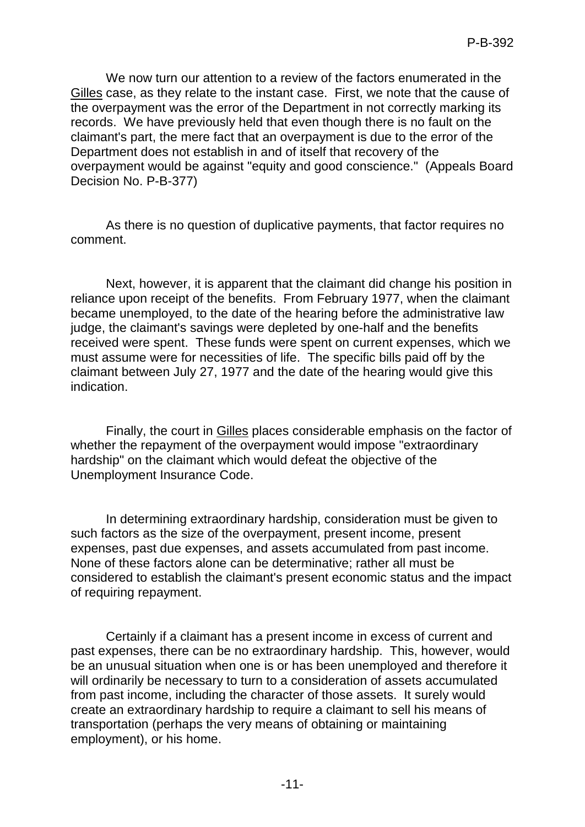We now turn our attention to a review of the factors enumerated in the Gilles case, as they relate to the instant case. First, we note that the cause of the overpayment was the error of the Department in not correctly marking its records. We have previously held that even though there is no fault on the claimant's part, the mere fact that an overpayment is due to the error of the Department does not establish in and of itself that recovery of the overpayment would be against "equity and good conscience." (Appeals Board Decision No. P-B-377)

As there is no question of duplicative payments, that factor requires no comment.

Next, however, it is apparent that the claimant did change his position in reliance upon receipt of the benefits. From February 1977, when the claimant became unemployed, to the date of the hearing before the administrative law judge, the claimant's savings were depleted by one-half and the benefits received were spent. These funds were spent on current expenses, which we must assume were for necessities of life. The specific bills paid off by the claimant between July 27, 1977 and the date of the hearing would give this indication.

Finally, the court in Gilles places considerable emphasis on the factor of whether the repayment of the overpayment would impose "extraordinary hardship" on the claimant which would defeat the objective of the Unemployment Insurance Code.

In determining extraordinary hardship, consideration must be given to such factors as the size of the overpayment, present income, present expenses, past due expenses, and assets accumulated from past income. None of these factors alone can be determinative; rather all must be considered to establish the claimant's present economic status and the impact of requiring repayment.

Certainly if a claimant has a present income in excess of current and past expenses, there can be no extraordinary hardship. This, however, would be an unusual situation when one is or has been unemployed and therefore it will ordinarily be necessary to turn to a consideration of assets accumulated from past income, including the character of those assets. It surely would create an extraordinary hardship to require a claimant to sell his means of transportation (perhaps the very means of obtaining or maintaining employment), or his home.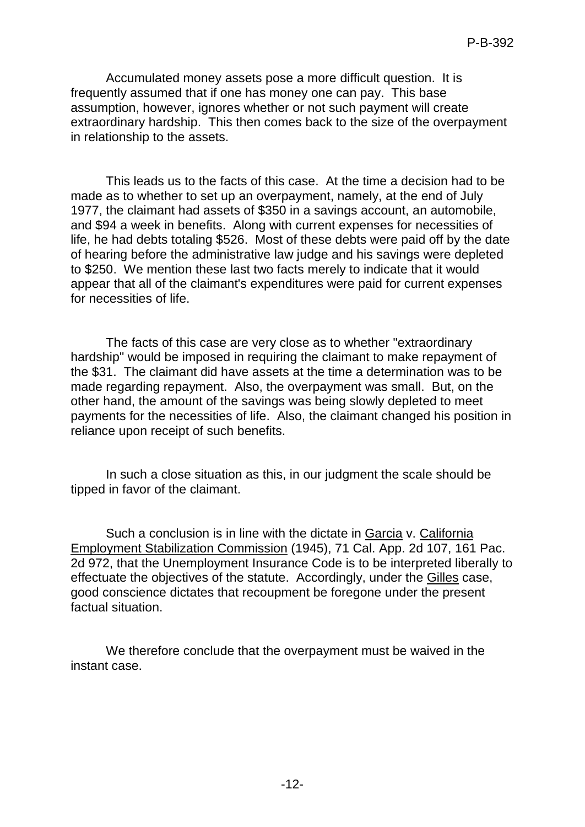Accumulated money assets pose a more difficult question. It is frequently assumed that if one has money one can pay. This base assumption, however, ignores whether or not such payment will create extraordinary hardship. This then comes back to the size of the overpayment in relationship to the assets.

This leads us to the facts of this case. At the time a decision had to be made as to whether to set up an overpayment, namely, at the end of July 1977, the claimant had assets of \$350 in a savings account, an automobile, and \$94 a week in benefits. Along with current expenses for necessities of life, he had debts totaling \$526. Most of these debts were paid off by the date of hearing before the administrative law judge and his savings were depleted to \$250. We mention these last two facts merely to indicate that it would appear that all of the claimant's expenditures were paid for current expenses for necessities of life.

The facts of this case are very close as to whether "extraordinary hardship" would be imposed in requiring the claimant to make repayment of the \$31. The claimant did have assets at the time a determination was to be made regarding repayment. Also, the overpayment was small. But, on the other hand, the amount of the savings was being slowly depleted to meet payments for the necessities of life. Also, the claimant changed his position in reliance upon receipt of such benefits.

In such a close situation as this, in our judgment the scale should be tipped in favor of the claimant.

Such a conclusion is in line with the dictate in Garcia v. California Employment Stabilization Commission (1945), 71 Cal. App. 2d 107, 161 Pac. 2d 972, that the Unemployment Insurance Code is to be interpreted liberally to effectuate the objectives of the statute. Accordingly, under the Gilles case, good conscience dictates that recoupment be foregone under the present factual situation.

We therefore conclude that the overpayment must be waived in the instant case.